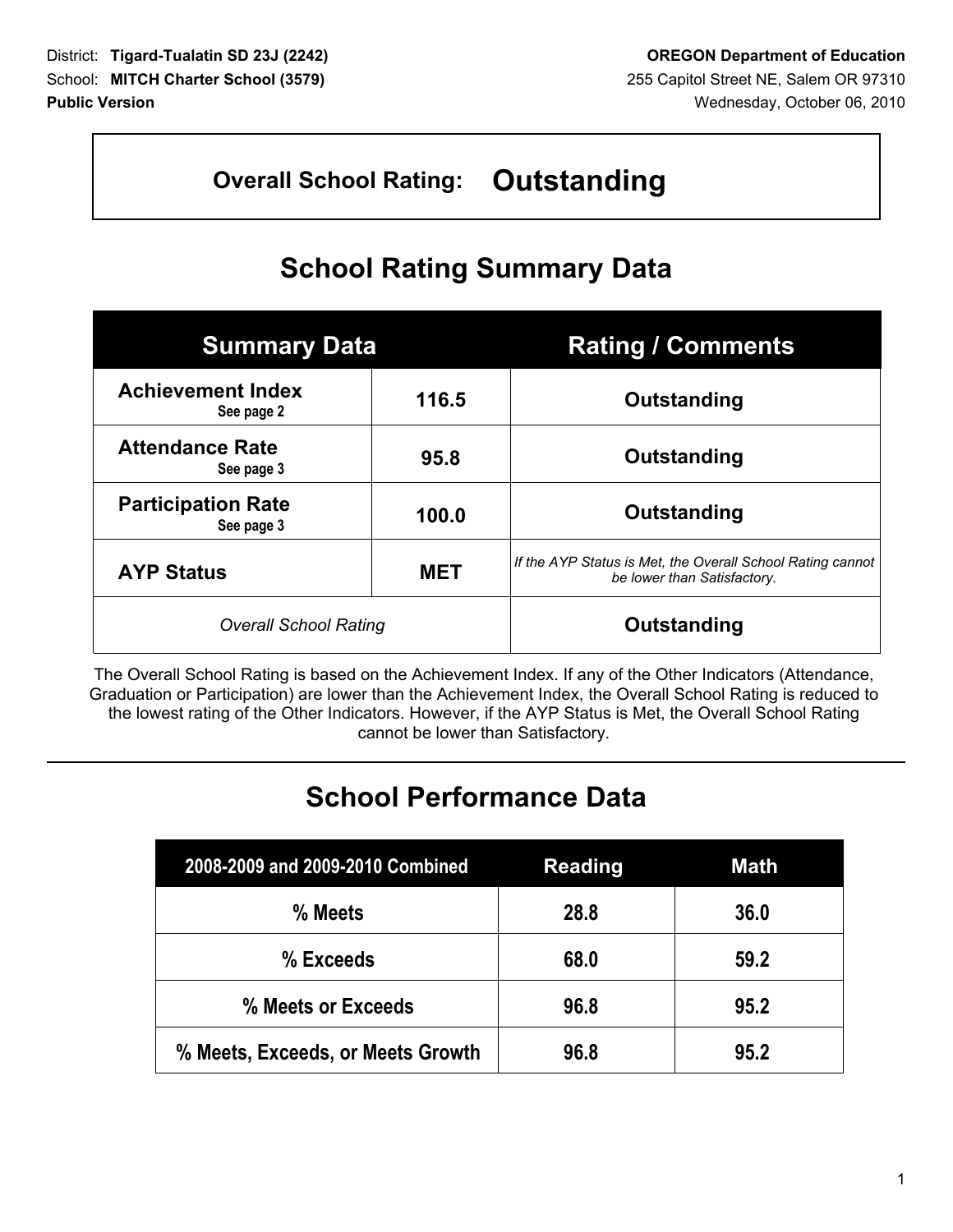# **Overall School Rating: Outstanding**

# **School Rating Summary Data**

| <b>Summary Data</b>                     |            | <b>Rating / Comments</b>                                                                  |
|-----------------------------------------|------------|-------------------------------------------------------------------------------------------|
| <b>Achievement Index</b><br>See page 2  | 116.5      | Outstanding                                                                               |
| <b>Attendance Rate</b><br>See page 3    | 95.8       | Outstanding                                                                               |
| <b>Participation Rate</b><br>See page 3 | 100.0      | Outstanding                                                                               |
| <b>AYP Status</b>                       | <b>MET</b> | If the AYP Status is Met, the Overall School Rating cannot<br>be lower than Satisfactory. |
| <b>Overall School Rating</b>            |            | Outstanding                                                                               |

The Overall School Rating is based on the Achievement Index. If any of the Other Indicators (Attendance, Graduation or Participation) are lower than the Achievement Index, the Overall School Rating is reduced to the lowest rating of the Other Indicators. However, if the AYP Status is Met, the Overall School Rating cannot be lower than Satisfactory.

# **School Performance Data**

| 2008-2009 and 2009-2010 Combined  | <b>Reading</b> | <b>Math</b> |
|-----------------------------------|----------------|-------------|
| % Meets                           | 28.8           | 36.0        |
| % Exceeds                         | 68.0           | 59.2        |
| % Meets or Exceeds                | 96.8           | 95.2        |
| % Meets, Exceeds, or Meets Growth | 96.8           | 95.2        |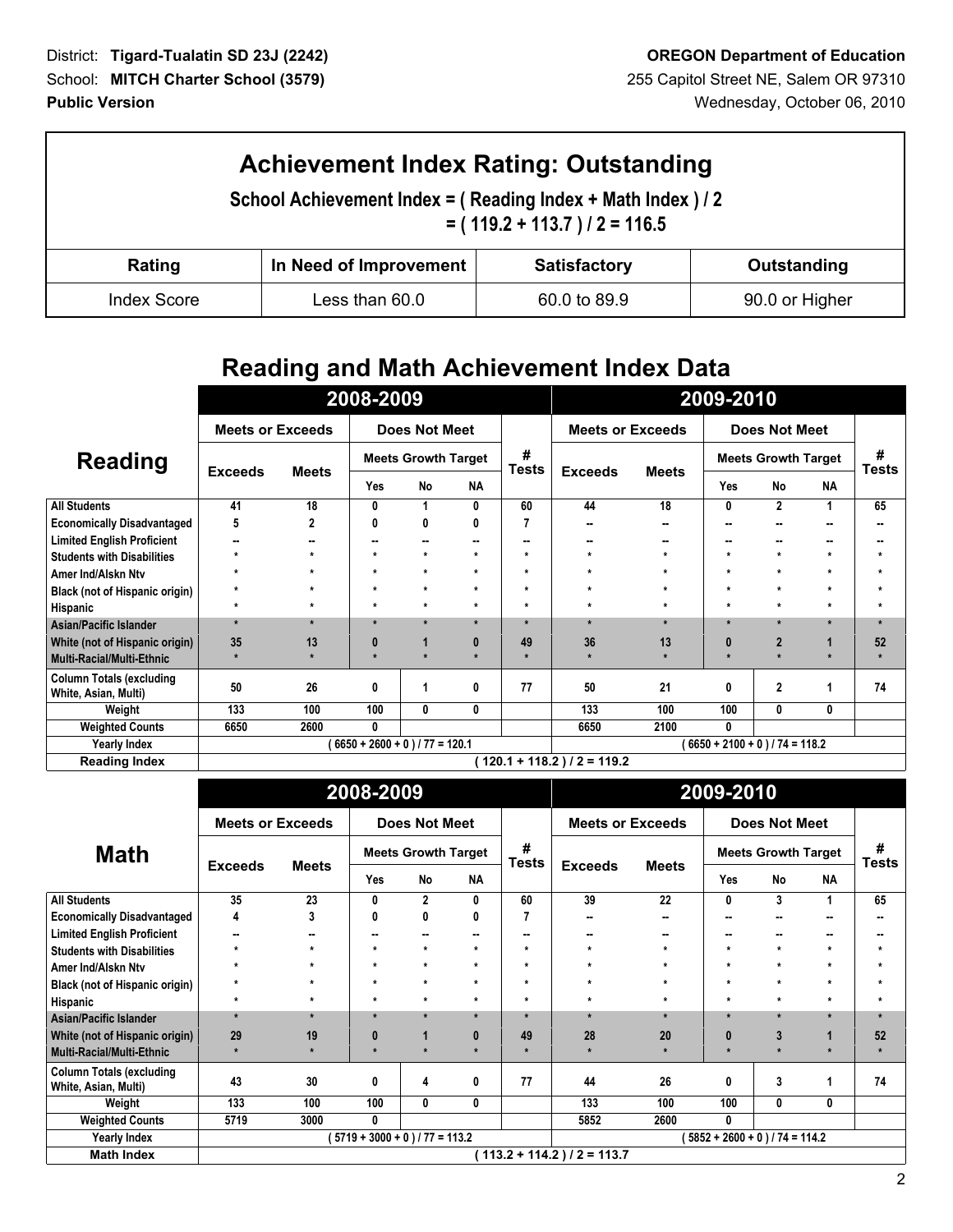| <b>Achievement Index Rating: Outstanding</b><br>School Achievement Index = (Reading Index + Math Index ) / 2<br>$= (119.2 + 113.7)/2 = 116.5$ |                                                              |              |                |  |  |  |  |
|-----------------------------------------------------------------------------------------------------------------------------------------------|--------------------------------------------------------------|--------------|----------------|--|--|--|--|
| Rating                                                                                                                                        | In Need of Improvement<br><b>Satisfactory</b><br>Outstanding |              |                |  |  |  |  |
| <b>Index Score</b>                                                                                                                            | Less than 60.0                                               | 60.0 to 89.9 | 90.0 or Higher |  |  |  |  |

### **Reading and Math Achievement Index Data**

|                                                         |                         | 2008-2009                        | 2009-2010                  |                      |           |                               |                         |              |                                  |                |              |                   |
|---------------------------------------------------------|-------------------------|----------------------------------|----------------------------|----------------------|-----------|-------------------------------|-------------------------|--------------|----------------------------------|----------------|--------------|-------------------|
|                                                         | <b>Meets or Exceeds</b> |                                  |                            | <b>Does Not Meet</b> |           |                               | <b>Meets or Exceeds</b> |              |                                  | Does Not Meet  |              |                   |
| <b>Reading</b>                                          |                         |                                  | <b>Meets Growth Target</b> |                      |           | #<br><b>Tests</b>             |                         |              | <b>Meets Growth Target</b>       |                |              | #<br><b>Tests</b> |
|                                                         | <b>Exceeds</b>          | <b>Meets</b>                     | Yes                        | <b>No</b>            | <b>NA</b> |                               | <b>Exceeds</b>          | <b>Meets</b> | Yes                              | No             | <b>NA</b>    |                   |
| <b>All Students</b>                                     | 41                      | 18                               | 0                          |                      | 0         | 60                            | 44                      | 18           | 0                                | $\overline{2}$ | 1            | 65                |
| <b>Economically Disadvantaged</b>                       | 5                       | 2                                | 0                          | 0                    | 0         |                               | --                      |              | $\sim$                           |                |              | --                |
| <b>Limited English Proficient</b>                       | --                      |                                  | ٠.                         |                      | --        |                               | --                      |              | $\sim$                           |                | --           |                   |
| <b>Students with Disabilities</b>                       | $\star$                 | $\star$                          | $\star$                    | $\star$              | $\star$   | $\star$                       | $\star$                 |              | $\star$                          | $\star$        | $\star$      | ÷                 |
| Amer Ind/Alskn Ntv                                      | $\star$                 | $\star$                          | $\star$                    | $\star$              | $\star$   | $\star$                       | $\star$                 |              | $\star$                          | $\star$        | $\star$      | $\star$           |
| <b>Black (not of Hispanic origin)</b>                   | $\star$                 | $\star$                          | $\star$                    | $\star$              | $\star$   | $\star$                       | $\star$                 | ÷            | $\star$                          | $\star$        | $\star$      | $\star$           |
| Hispanic                                                | $\star$                 | $\star$                          | $\star$                    | $\star$              | $\star$   | $\star$                       | $\star$                 | $\star$      | $\star$                          | $\star$        | $\star$      | $\star$           |
| Asian/Pacific Islander                                  | $\star$                 | $\star$                          | $\star$                    | $\star$              | $\star$   |                               | $\star$                 | $\star$      | $\star$                          | $\star$        | $\star$      | $\mathbf{r}$      |
| White (not of Hispanic origin)                          | 35                      | 13                               | $\bf{0}$                   |                      | 0         | 49                            | 36                      | 13           | 0                                | $\overline{2}$ | $\mathbf{1}$ | 52                |
| Multi-Racial/Multi-Ethnic                               |                         |                                  | $\mathbf{r}$               | $\star$              | $\star$   |                               | $\star$                 |              | $\star$                          |                | $\star$      |                   |
| <b>Column Totals (excluding</b><br>White, Asian, Multi) | 50                      | 26                               | 0                          |                      | 0         | 77                            | 50                      | 21           | 0                                | $\overline{2}$ | 1            | 74                |
| Weight                                                  | 133                     | 100                              | 100                        | 0                    | 0         |                               | 133                     | 100          | 100                              | 0              | 0            |                   |
| <b>Weighted Counts</b>                                  | 6650                    | 2600                             | 0                          |                      |           |                               | 6650                    | 2100         | 0                                |                |              |                   |
| <b>Yearly Index</b>                                     |                         | $6650 + 2600 + 0$ ) / 77 = 120.1 |                            |                      |           |                               |                         |              | $6650 + 2100 + 0$ ) / 74 = 118.2 |                |              |                   |
| <b>Reading Index</b>                                    |                         |                                  |                            |                      |           | $120.1 + 118.2$ ) / 2 = 119.2 |                         |              |                                  |                |              |                   |

| 2008-2009                                               |                                  |              |                            |                      |            |                | 2009-2010                     |                            |                                  |               |                      |              |
|---------------------------------------------------------|----------------------------------|--------------|----------------------------|----------------------|------------|----------------|-------------------------------|----------------------------|----------------------------------|---------------|----------------------|--------------|
|                                                         | <b>Meets or Exceeds</b>          |              |                            | <b>Does Not Meet</b> |            |                | <b>Meets or Exceeds</b>       |                            |                                  | Does Not Meet |                      |              |
| <b>Math</b>                                             |                                  | <b>Meets</b> | <b>Meets Growth Target</b> |                      | #<br>Tests | <b>Exceeds</b> | <b>Meets</b>                  | <b>Meets Growth Target</b> |                                  |               | #<br>Tests           |              |
|                                                         | <b>Exceeds</b>                   |              | Yes                        | No                   | <b>NA</b>  |                |                               |                            | Yes                              | No            | <b>NA</b>            |              |
| <b>All Students</b>                                     | 35                               | 23           | 0                          | $\overline{2}$       | 0          | 60             | 39                            | 22                         | 0                                | 3             | 1                    | 65           |
| <b>Economically Disadvantaged</b>                       | 4                                | 3            | 0                          | 0                    | 0          |                | --                            |                            | $\sim$                           |               | н.                   |              |
| <b>Limited English Proficient</b>                       | ۰.                               | --           | --                         | ۰.                   | н.         |                | н.                            | --                         | $\sim$                           | --            |                      | --           |
| <b>Students with Disabilities</b>                       | $\star$                          | $\star$      | $\star$                    | $\star$              | $\star$    |                | $\star$                       |                            | $\star$                          | $\star$       | $\star$              |              |
| Amer Ind/Alskn Ntv                                      | $\star$                          | $\star$      | $\star$                    | $\star$              | $\star$    | ÷              | $\star$                       | $\star$                    | $\star$                          | $\star$       | $\star$              | $\star$      |
| Black (not of Hispanic origin)                          | $\star$                          | $\star$      | $\star$                    | $\star$              | $\star$    | $\star$        | $\star$                       | $\star$                    | $\star$                          | $\star$       | $\star$              | $\star$      |
| Hispanic                                                | $\star$                          | $\star$      | $\pmb{\ast}$               | $\star$              | $\star$    | $\star$        | $\star$                       | ÷                          | $\star$                          | $\star$       | $\star$              | $\star$      |
| Asian/Pacific Islander                                  | $\star$                          | $\star$      | $\star$                    | $\star$              | $\star$    | ٠              | $\star$                       | $\star$                    | $\star$                          | $\star$       | $\star$              | $\mathbf{r}$ |
| White (not of Hispanic origin)                          | 29                               | 19           | $\bf{0}$                   |                      | $\bf{0}$   | 49             | 28                            | 20                         | 0                                | 3             | 1                    | 52           |
| Multi-Racial/Multi-Ethnic                               | $\star$                          |              | $\star$                    |                      | ÷          |                | $\star$                       |                            | $\mathbf{r}$                     |               | $\ddot{\phantom{0}}$ |              |
| <b>Column Totals (excluding</b><br>White, Asian, Multi) | 43                               | 30           | 0                          | 4                    | 0          | 77             | 44                            | 26                         | 0                                | 3             | 1                    | 74           |
| Weight                                                  | 133                              | 100          | 100                        | 0                    | 0          |                | 133                           | 100                        | 100                              | $\mathbf{0}$  | 0                    |              |
| <b>Weighted Counts</b>                                  | 5719                             | 3000         | 0                          |                      |            |                | 5852                          | 2600                       | 0                                |               |                      |              |
| <b>Yearly Index</b>                                     | $5719 + 3000 + 0$ ) / 77 = 113.2 |              |                            |                      |            |                |                               |                            | $5852 + 2600 + 0$ ) / 74 = 114.2 |               |                      |              |
| <b>Math Index</b>                                       |                                  |              |                            |                      |            |                | $113.2 + 114.2$ ) / 2 = 113.7 |                            |                                  |               |                      |              |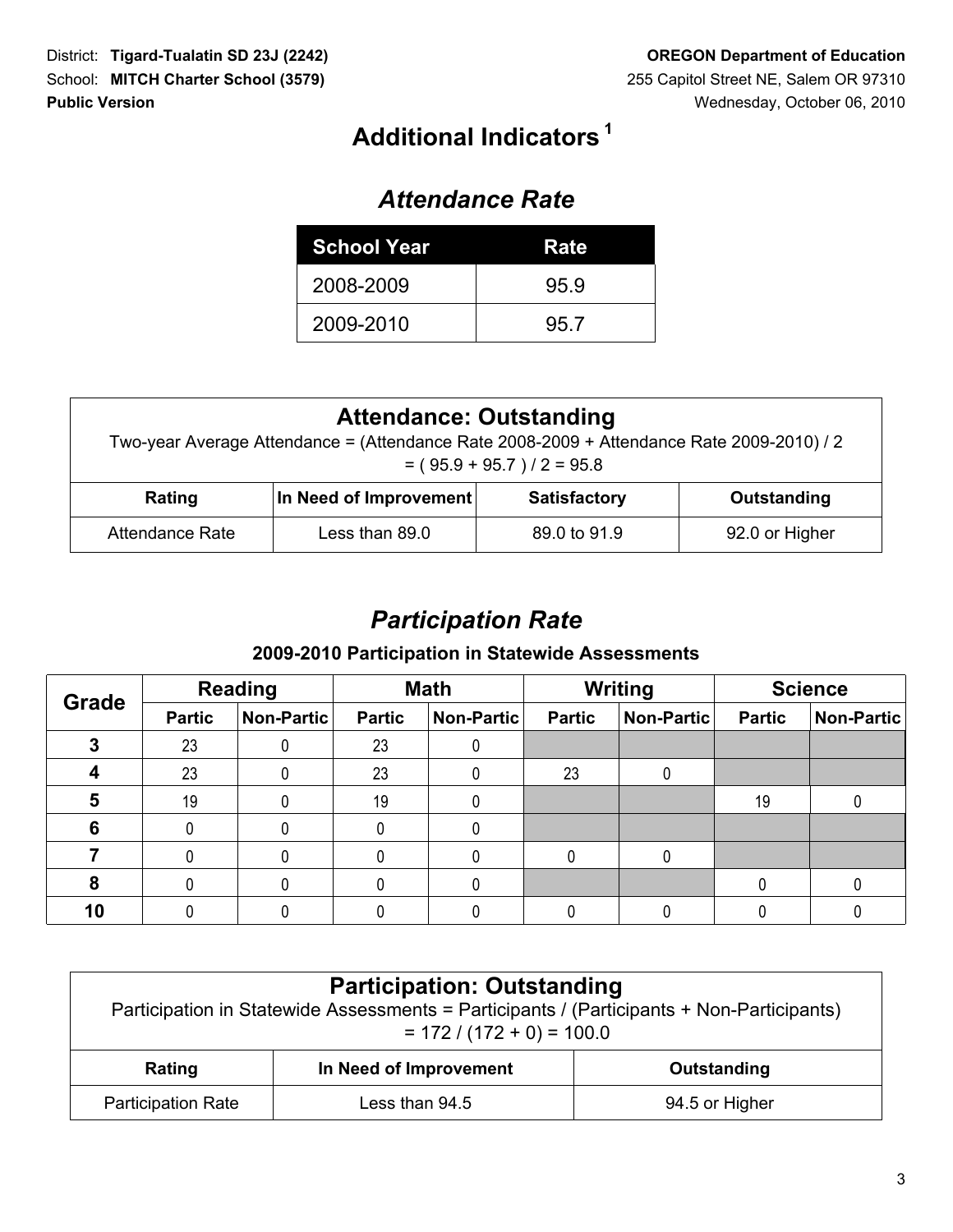# **<sup>1</sup> Additional Indicators**

#### *Attendance Rate*

| <b>School Year</b> | Rate |
|--------------------|------|
| 2008-2009          | 95.9 |
| 2009-2010          | 95.7 |

| <b>Attendance: Outstanding</b><br>Two-year Average Attendance = (Attendance Rate 2008-2009 + Attendance Rate 2009-2010) / 2<br>$= (95.9 + 95.7)/2 = 95.8$ |                                                              |              |                |  |  |  |
|-----------------------------------------------------------------------------------------------------------------------------------------------------------|--------------------------------------------------------------|--------------|----------------|--|--|--|
| Rating                                                                                                                                                    | In Need of Improvement<br><b>Satisfactory</b><br>Outstanding |              |                |  |  |  |
| Attendance Rate                                                                                                                                           | Less than 89.0                                               | 89.0 to 91.9 | 92.0 or Higher |  |  |  |

# *Participation Rate*

#### **2009-2010 Participation in Statewide Assessments**

| <b>Grade</b> | <b>Reading</b> |            | <b>Math</b>   |            | <b>Writing</b> |                   | <b>Science</b> |            |  |
|--------------|----------------|------------|---------------|------------|----------------|-------------------|----------------|------------|--|
|              | <b>Partic</b>  | Non-Partic | <b>Partic</b> | Non-Partic | <b>Partic</b>  | <b>Non-Partic</b> | <b>Partic</b>  | Non-Partic |  |
|              | 23             |            | 23            |            |                |                   |                |            |  |
|              | 23             |            | 23            |            | 23             |                   |                |            |  |
| 5            | 19             |            | 19            |            |                |                   | 19             |            |  |
| 6            |                |            |               |            |                |                   |                |            |  |
|              |                |            |               |            |                |                   |                |            |  |
| 8            |                |            |               |            |                |                   |                |            |  |
| 10           |                |            |               |            |                |                   |                |            |  |

| <b>Participation: Outstanding</b><br>Participation in Statewide Assessments = Participants / (Participants + Non-Participants)<br>$= 172 / (172 + 0) = 100.0$ |                                                 |                |                |  |  |  |
|---------------------------------------------------------------------------------------------------------------------------------------------------------------|-------------------------------------------------|----------------|----------------|--|--|--|
|                                                                                                                                                               | In Need of Improvement<br>Outstanding<br>Rating |                |                |  |  |  |
|                                                                                                                                                               | <b>Participation Rate</b>                       | Less than 94.5 | 94.5 or Higher |  |  |  |